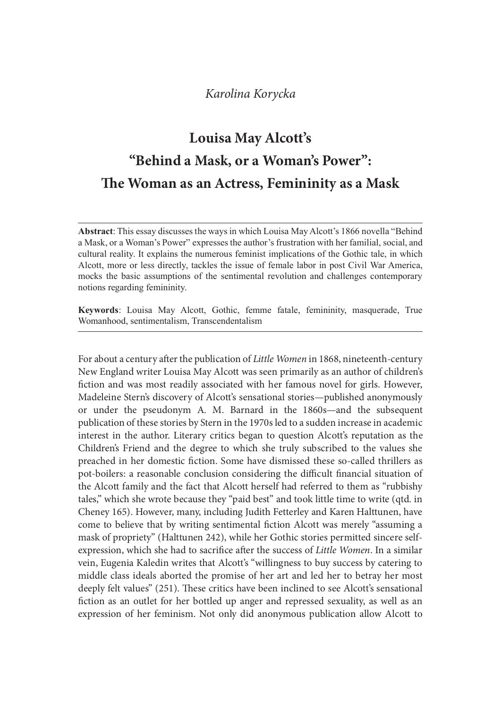# Louisa May Alcott's "Behind a Mask, or a Woman's Power": The Woman as an Actress, Femininity as a Mask

Abstract: This essay discusses the ways in which Louisa May Alcott's 1866 novella "Behind" a Mask, or a Woman's Power" expressesthe author's frustration with her familial, social, and cultural reality. It explains the numerous feminist implications of the Gothic tale, in which Alcott, more or less directly, tackles the issue of female labor in post Civil War America, **Example 18 Kendina Korycka**<br> **PRENCISION MATE SERVICES**<br> **PRENCISE ASSET ASSET ASSET ASSET ASSET ASSET ASSET ASSET ASSET AND MATALLY.**<br> **PRENCISE WAS ADMORIT ASSET ASSET ASSET ASSET ASSET ASSET AND MANAL PRENCISE ANOTHER** notions regarding femininity.

Keywords: Louisa May Alcott, Gothic, femme fatale, femininity, masquerade, True Womanhood, sentimentalism, Transcendentalism

For about a century after the publication of *Little Women* in 1868, nineteenth-century New England writer Louisa May Alcott was seen primarily as an author of children's fiction and was most readily associated with her famous novel for girls. However, Madeleine Stern's discovery of Alcott's sensational stories—published anonymously or under the pseudonym A. M. Barnard in the 1860s—and the subsequent publication of these stories by Stern in the 1970s led to a sudden increase in academic interest in the author. Literary critics began to question Alcott's reputation as the Children's Friend and the degree to which she truly subscribed to the values she preached in her domestic fiction. Some have dismissed these so-called thrillers as pot-boilers: a reasonable conclusion considering the difficult financial situation of the Alcott family and the fact that Alcott herself had referred to them as "rubbishy tales," which she wrote because they "paid best" and took little time to write (qtd. in Cheney 165). However, many, including Judith Fetterley and Karen Halttunen, have come to believe that by writing sentimental fiction Alcott was merely "assuming a mask of propriety" (Halttunen 242), while her Gothic stories permitted sincere selfexpression, which she had to sacrifice after the success of Little Women. In a similar vein, Eugenia Kaledin writes that Alcott's "willingness to buy success by catering to middle class ideals aborted the promise of her art and led her to betray her most deeply felt values" (251). These critics have been inclined to see Alcott's sensational fiction as an outlet for her bottled up anger and repressed sexuality, as well as an expression of her feminism. Not only did anonymous publication allow Alcott to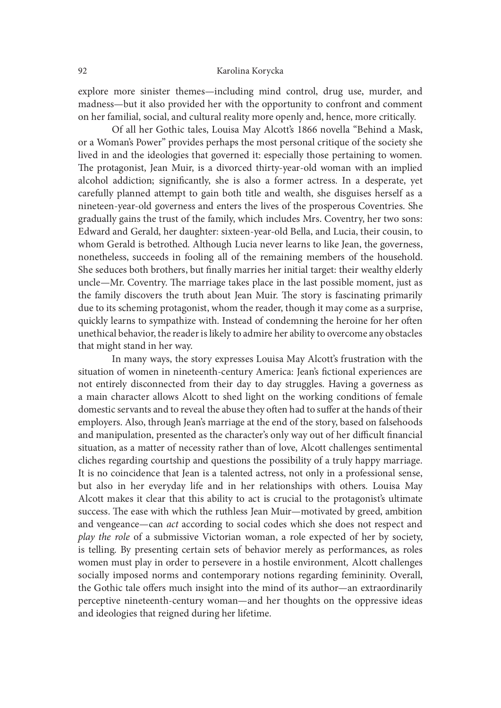explore more sinister themes—including mind control, drug use, murder, and madness—but it also provided her with the opportunity to confront and comment on her familial, social, and cultural reality more openly and, hence, more critically.

 Of all her Gothic tales, Louisa May Alcott's 1866 novella "Behind a Mask, or a Woman's Power" provides perhaps the most personal critique of the society she lived in and the ideologies that governed it: especially those pertaining to women. The protagonist, Jean Muir, is a divorced thirty-year-old woman with an implied alcohol addiction; significantly, she is also a former actress. In a desperate, yet carefully planned attempt to gain both title and wealth, she disguises herself as a nineteen-year-old governess and enters the lives of the prosperous Coventries. She gradually gains the trust of the family, which includes Mrs. Coventry, her two sons: Edward and Gerald, her daughter: sixteen-year-old Bella, and Lucia, their cousin, to whom Gerald is betrothed. Although Lucia never learns to like Jean, the governess, nonetheless, succeeds in fooling all of the remaining members of the household. She seduces both brothers, but finally marries her initial target: their wealthy elderly uncle—Mr. Coventry. The marriage takes place in the last possible moment, just as the family discovers the truth about Jean Muir. The story is fascinating primarily due to its scheming protagonist, whom the reader, though it may come as a surprise, quickly learns to sympathize with. Instead of condemning the heroine for her oten unethical behavior, the reader is likely to admire her ability to overcome any obstacles that might stand in her way.

 In many ways, the story expresses Louisa May Alcott's frustration with the situation of women in nineteenth-century America: Jean's fictional experiences are not entirely disconnected from their day to day struggles. Having a governess as a main character allows Alcott to shed light on the working conditions of female domestic servants and to reveal the abuse they often had to suffer at the hands of their employers. Also, through Jean's marriage at the end of the story, based on falsehoods and manipulation, presented as the character's only way out of her difficult financial situation, as a matter of necessity rather than of love, Alcott challenges sentimental cliches regarding courtship and questions the possibility of a truly happy marriage. It is no coincidence that Jean is a talented actress, not only in a professional sense, but also in her everyday life and in her relationships with others. Louisa May Alcott makes it clear that this ability to act is crucial to the protagonist's ultimate success. The ease with which the ruthless Jean Muir—motivated by greed, ambition and vengeance—can act according to social codes which she does not respect and play the role of a submissive Victorian woman, a role expected of her by society, is telling. By presenting certain sets of behavior merely as performances, as roles women must play in order to persevere in a hostile environment, Alcott challenges socially imposed norms and contemporary notions regarding femininity. Overall, the Gothic tale offers much insight into the mind of its author—an extraordinarily perceptive nineteenth-century woman—and her thoughts on the oppressive ideas and ideologies that reigned during her lifetime.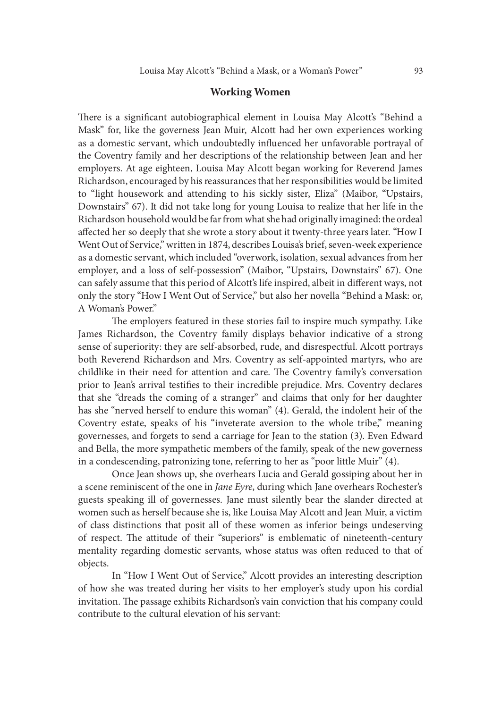## Working Women

There is a significant autobiographical element in Louisa May Alcott's "Behind a Mask" for, like the governess Jean Muir, Alcott had her own experiences working as a domestic servant, which undoubtedly influenced her unfavorable portrayal of the Coventry family and her descriptions of the relationship between Jean and her employers. At age eighteen, Louisa May Alcott began working for Reverend James Richardson, encouraged by his reassurances that her responsibilities would be limited to "light housework and attending to his sickly sister, Eliza" (Maibor, "Upstairs, Downstairs" 67). It did not take long for young Louisa to realize that her life in the Richardson household would be far from what she had originally imagined: the ordeal affected her so deeply that she wrote a story about it twenty-three years later. "How I Went Out of Service," written in 1874, describes Louisa's brief, seven-week experience as a domestic servant, which included "overwork, isolation, sexual advances from her employer, and a loss of self-possession" (Maibor, "Upstairs, Downstairs" 67). One can safely assume that this period of Alcott's life inspired, albeit in different ways, not only the story "How I Went Out of Service," but also her novella "Behind a Mask: or, A Woman's Power."

The employers featured in these stories fail to inspire much sympathy. Like James Richardson, the Coventry family displays behavior indicative of a strong sense of superiority: they are self-absorbed, rude, and disrespectful. Alcott portrays both Reverend Richardson and Mrs. Coventry as self-appointed martyrs, who are childlike in their need for attention and care. The Coventry family's conversation prior to Jean's arrival testifies to their incredible prejudice. Mrs. Coventry declares that she "dreads the coming of a stranger" and claims that only for her daughter has she "nerved herself to endure this woman" (4). Gerald, the indolent heir of the Coventry estate, speaks of his "inveterate aversion to the whole tribe," meaning governesses, and forgets to send a carriage for Jean to the station (3). Even Edward and Bella, the more sympathetic members of the family, speak of the new governess in a condescending, patronizing tone, referring to her as "poor little Muir" (4).

 Once Jean shows up, she overhears Lucia and Gerald gossiping about her in a scene reminiscent of the one in Jane Eyre, during which Jane overhears Rochester's guests speaking ill of governesses. Jane must silently bear the slander directed at women such as herself because she is, like Louisa May Alcott and Jean Muir, a victim of class distinctions that posit all of these women as inferior beings undeserving of respect. The attitude of their "superiors" is emblematic of nineteenth-century mentality regarding domestic servants, whose status was oten reduced to that of objects.

 In "How I Went Out of Service," Alcott provides an interesting description of how she was treated during her visits to her employer's study upon his cordial invitation. The passage exhibits Richardson's vain conviction that his company could contribute to the cultural elevation of his servant: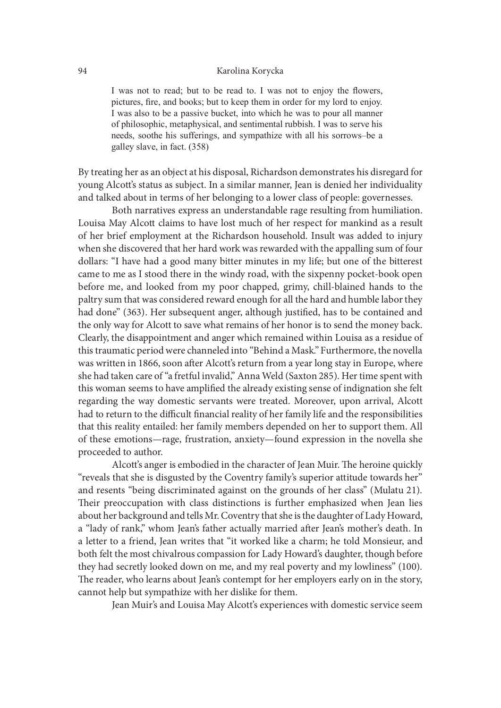Karolina Korycka<br>I was not to read; but to be read to. I was not to enjoy the flowers,<br>pictures, fire, and books; but to keep them in order for my lord to enjoy.<br>I was also to be a passive bucket, into which he was to pour pictures, fire, and books; but to keep them in order for my lord to enjoy. I was also to be a passive bucket, into which he was to pour all manner of philosophic, metaphysical, and sentimental rubbish. I was to serve his Karolina Korycka<br>
I was not to read; but to be read to. I was not to enjoy the flowers,<br>
pictures, fire, and books; but to keep them in order for my lord to enjoy.<br>
I was also to be a passive bucket, into which he was to p galley slave, in fact. (358)

By treating her as an object at his disposal, Richardson demonstrates his disregard for young Alcott's status as subject. In a similar manner, Jean is denied her individuality and talked about in terms of her belonging to a lower class of people: governesses.

 Both narratives express an understandable rage resulting from humiliation. Louisa May Alcott claims to have lost much of her respect for mankind as a result of her brief employment at the Richardson household. Insult was added to injury when she discovered that her hard work was rewarded with the appalling sum of four dollars: "I have had a good many bitter minutes in my life; but one of the bitterest came to me as I stood there in the windy road, with the sixpenny pocket-book open before me, and looked from my poor chapped, grimy, chill-blained hands to the paltry sum that was considered reward enough for all the hard and humble labor they had done" (363). Her subsequent anger, although justified, has to be contained and the only way for Alcott to save what remains of her honor is to send the money back. Clearly, the disappointment and anger which remained within Louisa as a residue of this traumatic period were channeled into "Behind a Mask." Furthermore, the novella was written in 1866, soon after Alcott's return from a year long stay in Europe, where she had taken care of "a fretful invalid," Anna Weld (Saxton 285). Her time spent with this woman seems to have amplified the already existing sense of indignation she felt regarding the way domestic servants were treated. Moreover, upon arrival, Alcott had to return to the difficult financial reality of her family life and the responsibilities that this reality entailed: her family members depended on her to support them. All of these emotions—rage, frustration, anxiety—found expression in the novella she proceeded to author.

Alcott's anger is embodied in the character of Jean Muir. The heroine quickly "reveals that she is disgusted by the Coventry family's superior attitude towards her" and resents "being discriminated against on the grounds of her class" (Mulatu 21). Their preoccupation with class distinctions is further emphasized when Jean lies about her background and tells Mr. Coventry that she is the daughter of Lady Howard, a "lady of rank," whom Jean's father actually married ater Jean's mother's death. In a letter to a friend, Jean writes that "it worked like a charm; he told Monsieur, and both felt the most chivalrous compassion for Lady Howard's daughter, though before they had secretly looked down on me, and my real poverty and my lowliness" (100). The reader, who learns about Jean's contempt for her employers early on in the story, cannot help but sympathize with her dislike for them.

Jean Muir's and Louisa May Alcott's experiences with domestic service seem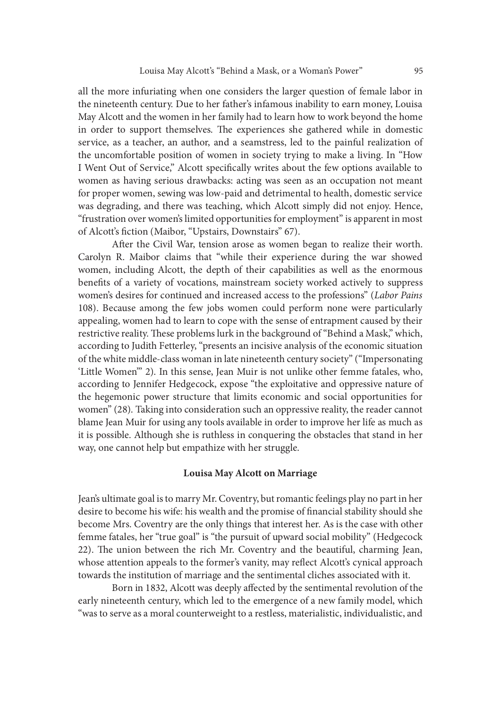all the more infuriating when one considers the larger question of female labor in the nineteenth century. Due to her father's infamous inability to earn money, Louisa May Alcott and the women in her family had to learn how to work beyond the home in order to support themselves. The experiences she gathered while in domestic service, as a teacher, an author, and a seamstress, led to the painful realization of the uncomfortable position of women in society trying to make a living. In "How I Went Out of Service," Alcott specifically writes about the few options available to women as having serious drawbacks: acting was seen as an occupation not meant for proper women, sewing was low-paid and detrimental to health, domestic service was degrading, and there was teaching, which Alcott simply did not enjoy. Hence, "frustration over women's limited opportunities for employment" is apparent in most of Alcott's fiction (Maibor, "Upstairs, Downstairs" 67).

 Ater the Civil War, tension arose as women began to realize their worth. Carolyn R. Maibor claims that "while their experience during the war showed women, including Alcott, the depth of their capabilities as well as the enormous benefits of a variety of vocations, mainstream society worked actively to suppress women's desires for continued and increased access to the professions" (Labor Pains 108). Because among the few jobs women could perform none were particularly appealing, women had to learn to cope with the sense of entrapment caused by their restrictive reality. These problems lurk in the background of "Behind a Mask," which, according to Judith Fetterley, "presents an incisive analysis of the economic situation of the white middle-class woman in late nineteenth century society" ("Impersonating 'Little Women'" 2). In this sense, Jean Muir is not unlike other femme fatales, who, according to Jennifer Hedgecock, expose "the exploitative and oppressive nature of the hegemonic power structure that limits economic and social opportunities for women" (28). Taking into consideration such an oppressive reality, the reader cannot blame Jean Muir for using any tools available in order to improve her life as much as it is possible. Although she is ruthless in conquering the obstacles that stand in her way, one cannot help but empathize with her struggle.

## Louisa May Alcott on Marriage

Jean's ultimate goal is to marry Mr. Coventry, but romantic feelings play no part in her desire to become his wife: his wealth and the promise of financial stability should she become Mrs. Coventry are the only things that interest her. As is the case with other femme fatales, her "true goal" is "the pursuit of upward social mobility" (Hedgecock 22). The union between the rich Mr. Coventry and the beautiful, charming Jean, whose attention appeals to the former's vanity, may reflect Alcott's cynical approach towards the institution of marriage and the sentimental cliches associated with it.

Born in 1832, Alcott was deeply affected by the sentimental revolution of the early nineteenth century, which led to the emergence of a new family model, which "was to serve as a moral counterweight to a restless, materialistic, individualistic, and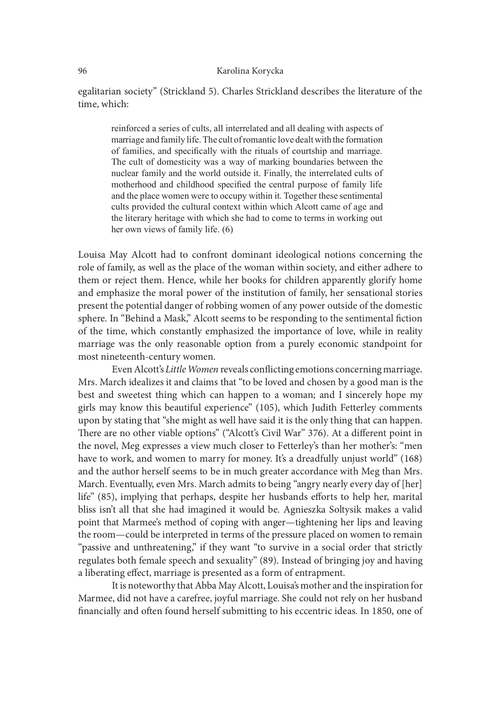egalitarian society" (Strickland 5). Charles Strickland describes the literature of the time, which:

reinforced a series of cults, all interrelated and all dealing with aspects of marriage and family life. The cult of romantic love dealt with the formation of families, and specifically with the rituals of courtship and marriage. The cult of domesticity was a way of marking boundaries between the nuclear family and the world outside it. Finally, the interrelated cults of motherhood and childhood specified the central purpose of family life and the place women were to occupy within it. Together these sentimental cults provided the cultural context within which Alcott came of age and the literary heritage with which she had to come to terms in working out her own views of family life.  $(6)$ 

Louisa May Alcott had to confront dominant ideological notions concerning the role of family, as well as the place of the woman within society, and either adhere to them or reject them. Hence, while her books for children apparently glorify home and emphasize the moral power of the institution of family, her sensational stories present the potential danger of robbing women of any power outside of the domestic sphere. In "Behind a Mask," Alcott seems to be responding to the sentimental fiction of the time, which constantly emphasized the importance of love, while in reality marriage was the only reasonable option from a purely economic standpoint for most nineteenth-century women.

Even Alcott's Little Women reveals conflicting emotions concerning marriage. Mrs. March idealizes it and claims that "to be loved and chosen by a good man is the best and sweetest thing which can happen to a woman; and I sincerely hope my girls may know this beautiful experience" (105), which Judith Fetterley comments upon by stating that "she might as well have said it is the only thing that can happen. There are no other viable options" ("Alcott's Civil War" 376). At a different point in the novel, Meg expresses a view much closer to Fetterley's than her mother's: "men have to work, and women to marry for money. It's a dreadfully unjust world" (168) and the author herself seems to be in much greater accordance with Meg than Mrs. March. Eventually, even Mrs. March admits to being "angry nearly every day of [her] life" (85), implying that perhaps, despite her husbands efforts to help her, marital bliss isn't all that she had imagined it would be. Agnieszka Soltysik makes a valid point that Marmee's method of coping with anger—tightening her lips and leaving the room—could be interpreted in terms of the pressure placed on women to remain "passive and unthreatening," if they want "to survive in a social order that strictly regulates both female speech and sexuality" (89). Instead of bringing joy and having a liberating effect, marriage is presented as a form of entrapment.

 It is noteworthy that Abba May Alcott, Louisa's mother and the inspiration for Marmee, did not have a carefree, joyful marriage. She could not rely on her husband financially and often found herself submitting to his eccentric ideas. In 1850, one of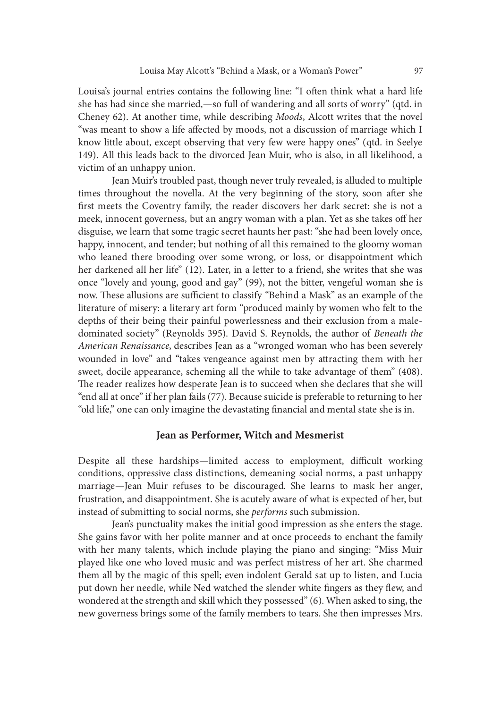Louisa's journal entries contains the following line: "I oten think what a hard life she has had since she married,—so full of wandering and all sorts of worry" (qtd. in Cheney 62). At another time, while describing Moods, Alcott writes that the novel "was meant to show a life affected by moods, not a discussion of marriage which I know little about, except observing that very few were happy ones" (qtd. in Seelye 149). All this leads back to the divorced Jean Muir, who is also, in all likelihood, a victim of an unhappy union.

 Jean Muir's troubled past, though never truly revealed, is alluded to multiple times throughout the novella. At the very beginning of the story, soon after she first meets the Coventry family, the reader discovers her dark secret: she is not a meek, innocent governess, but an angry woman with a plan. Yet as she takes off her disguise, we learn that some tragic secret haunts her past: "she had been lovely once, happy, innocent, and tender; but nothing of all this remained to the gloomy woman who leaned there brooding over some wrong, or loss, or disappointment which her darkened all her life" (12). Later, in a letter to a friend, she writes that she was once "lovely and young, good and gay" (99), not the bitter, vengeful woman she is now. These allusions are sufficient to classify "Behind a Mask" as an example of the literature of misery: a literary art form "produced mainly by women who felt to the depths of their being their painful powerlessness and their exclusion from a maledominated society" (Reynolds 395). David S. Reynolds, the author of Beneath the American Renaissance, describes Jean as a "wronged woman who has been severely wounded in love" and "takes vengeance against men by attracting them with her sweet, docile appearance, scheming all the while to take advantage of them" (408). The reader realizes how desperate Jean is to succeed when she declares that she will "end all at once" if her plan fails (77). Because suicide is preferable to returning to her "old life," one can only imagine the devastating financial and mental state she is in.

## Jean as Performer, Witch and Mesmerist

Despite all these hardships—limited access to employment, difficult working conditions, oppressive class distinctions, demeaning social norms, a past unhappy marriage—Jean Muir refuses to be discouraged. She learns to mask her anger, frustration, and disappointment. She is acutely aware of what is expected of her, but instead of submitting to social norms, she performs such submission.

 Jean's punctuality makes the initial good impression as she enters the stage. She gains favor with her polite manner and at once proceeds to enchant the family with her many talents, which include playing the piano and singing: "Miss Muir played like one who loved music and was perfect mistress of her art. She charmed them all by the magic of this spell; even indolent Gerald sat up to listen, and Lucia put down her needle, while Ned watched the slender white fingers as they flew, and wondered at the strength and skill which they possessed" (6). When asked to sing, the new governess brings some of the family members to tears. She then impresses Mrs.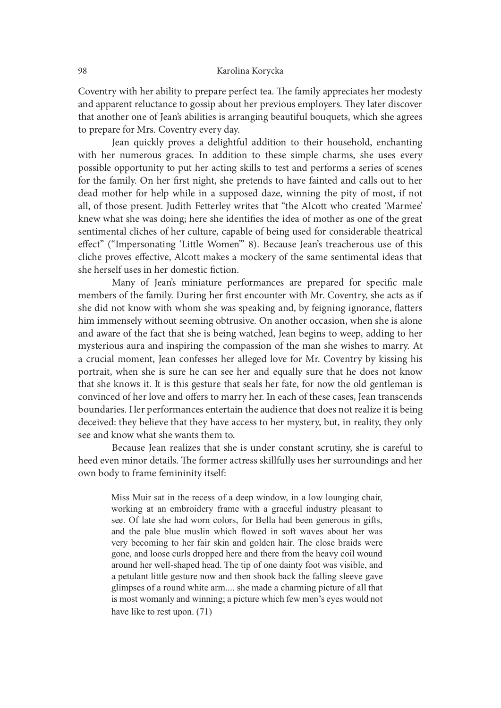Coventry with her ability to prepare perfect tea. The family appreciates her modesty and apparent reluctance to gossip about her previous employers. They later discover that another one of Jean's abilities is arranging beautiful bouquets, which she agrees to prepare for Mrs. Coventry every day.

 Jean quickly proves a delightful addition to their household, enchanting with her numerous graces. In addition to these simple charms, she uses every possible opportunity to put her acting skills to test and performs a series of scenes for the family. On her first night, she pretends to have fainted and calls out to her dead mother for help while in a supposed daze, winning the pity of most, if not all, of those present. Judith Fetterley writes that "the Alcott who created 'Marmee' knew what she was doing; here she identifies the idea of mother as one of the great sentimental cliches of her culture, capable of being used for considerable theatrical effect" ("Impersonating 'Little Women" 8). Because Jean's treacherous use of this cliche proves effective, Alcott makes a mockery of the same sentimental ideas that she herself uses in her domestic fiction.

Many of Jean's miniature performances are prepared for specific male members of the family. During her first encounter with Mr. Coventry, she acts as if she did not know with whom she was speaking and, by feigning ignorance, flatters him immensely without seeming obtrusive. On another occasion, when she is alone and aware of the fact that she is being watched, Jean begins to weep, adding to her mysterious aura and inspiring the compassion of the man she wishes to marry. At a crucial moment, Jean confesses her alleged love for Mr. Coventry by kissing his portrait, when she is sure he can see her and equally sure that he does not know that she knows it. It is this gesture that seals her fate, for now the old gentleman is convinced of her love and offers to marry her. In each of these cases, Jean transcends boundaries. Her performances entertain the audience that does not realize it is being deceived: they believe that they have access to her mystery, but, in reality, they only see and know what she wants them to. Exercisy whoto securing coursare. Or anotonic oceasion, which site a concerned in the musling to her are of the fact that she is being watched, Jean begins to weep, adding to her bus aura and inspiring the compassion of th re to the tact that sine is being watched, lean begins to weep, adding to here as outs and inspiring the compassion of the man she wishes to marry. At I moment, Jean confesses her alleged love for Mr. Coventry by kissing h

 Because Jean realizes that she is under constant scrutiny, she is careful to heed even minor details. The former actress skillfully uses her surroundings and her own body to frame femininity itself:

Miss Muir sat in the recess of a deep window, in a low lounging chair, working at an embroidery frame with a graceful industry pleasant to see. Of late she had worn colors, for Bella had been generous in gifts, gone, and loose curls dropped here and there from the heavy coil wound around her well-shaped head. The tip of one dainty foot was visible, and a petulant little gesture now and then shook back the falling sleeve gave glimpses of a round white arm.... she made a charming picture of all that is most womanly and winning; a picture which few men's eyes would not have like to rest upon.  $(71)$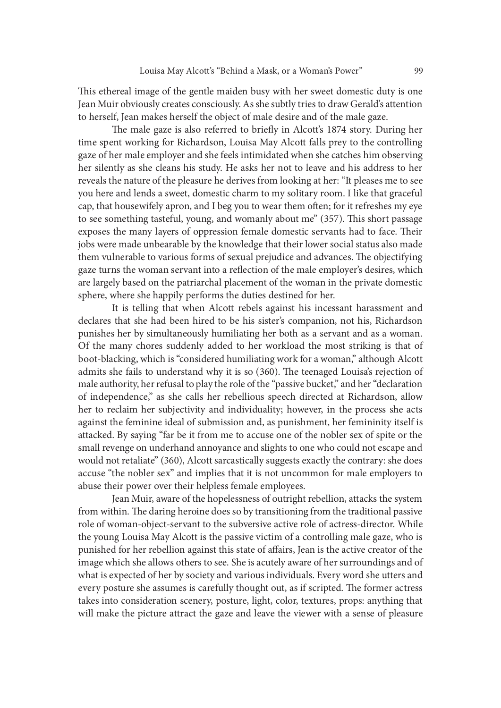This ethereal image of the gentle maiden busy with her sweet domestic duty is one Jean Muir obviously creates consciously. As she subtly tries to draw Gerald's attention to herself, Jean makes herself the object of male desire and of the male gaze.

The male gaze is also referred to briefly in Alcott's 1874 story. During her time spent working for Richardson, Louisa May Alcott falls prey to the controlling gaze of her male employer and she feels intimidated when she catches him observing her silently as she cleans his study. He asks her not to leave and his address to her reveals the nature of the pleasure he derives from looking at her: "It pleases me to see you here and lends a sweet, domestic charm to my solitary room. I like that graceful cap, that housewifely apron, and I beg you to wear them often; for it refreshes my eye to see something tasteful, young, and womanly about me" (357). This short passage exposes the many layers of oppression female domestic servants had to face. Their jobs were made unbearable by the knowledge that their lower social status also made them vulnerable to various forms of sexual prejudice and advances. The objectifying gaze turns the woman servant into a reflection of the male employer's desires, which are largely based on the patriarchal placement of the woman in the private domestic sphere, where she happily performs the duties destined for her.

 It is telling that when Alcott rebels against his incessant harassment and declares that she had been hired to be his sister's companion, not his, Richardson punishes her by simultaneously humiliating her both as a servant and as a woman. Of the many chores suddenly added to her workload the most striking is that of boot-blacking, which is "considered humiliating work for a woman," although Alcott admits she fails to understand why it is so (360). The teenaged Louisa's rejection of male authority, her refusal to play the role of the "passive bucket," and her "declaration of independence," as she calls her rebellious speech directed at Richardson, allow her to reclaim her subjectivity and individuality; however, in the process she acts against the feminine ideal of submission and, as punishment, her femininity itself is attacked. By saying "far be it from me to accuse one of the nobler sex of spite or the small revenge on underhand annoyance and slights to one who could not escape and would not retaliate" (360), Alcott sarcastically suggests exactly the contrary: she does accuse "the nobler sex" and implies that it is not uncommon for male employers to abuse their power over their helpless female employees.

 Jean Muir, aware of the hopelessness of outright rebellion, attacks the system from within. The daring heroine does so by transitioning from the traditional passive role of woman-object-servant to the subversive active role of actress-director. While the young Louisa May Alcott is the passive victim of a controlling male gaze, who is punished for her rebellion against this state of affairs, Jean is the active creator of the image which she allows others to see. She is acutely aware of her surroundings and of what is expected of her by society and various individuals. Every word she utters and every posture she assumes is carefully thought out, as if scripted. The former actress takes into consideration scenery, posture, light, color, textures, props: anything that will make the picture attract the gaze and leave the viewer with a sense of pleasure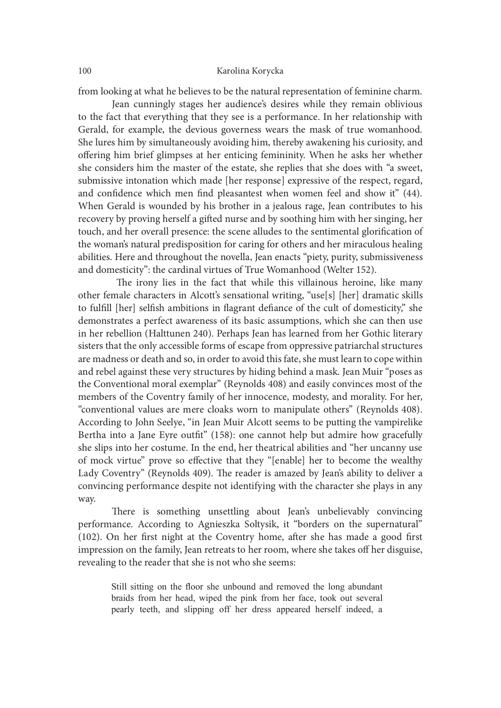from looking at what he believes to be the natural representation of feminine charm.

 Jean cunningly stages her audience's desires while they remain oblivious to the fact that everything that they see is a performance. In her relationship with Gerald, for example, the devious governess wears the mask of true womanhood. She lures him by simultaneously avoiding him, thereby awakening his curiosity, and offering him brief glimpses at her enticing femininity. When he asks her whether she considers him the master of the estate, she replies that she does with "a sweet, submissive intonation which made [her response] expressive of the respect, regard, and confidence which men find pleasantest when women feel and show it" (44). When Gerald is wounded by his brother in a jealous rage, Jean contributes to his recovery by proving herself a gited nurse and by soothing him with her singing, her touch, and her overall presence: the scene alludes to the sentimental glorification of the woman's natural predisposition for caring for others and her miraculous healing abilities. Here and throughout the novella, Jean enacts "piety, purity, submissiveness and domesticity": the cardinal virtues of True Womanhood (Welter 152).

The irony lies in the fact that while this villainous heroine, like many other female characters in Alcott's sensational writing, "use[s] [her] dramatic skills to fulfill [her] selfish ambitions in flagrant defiance of the cult of domesticity," she demonstrates a perfect awareness of its basic assumptions, which she can then use in her rebellion (Halttunen 240). Perhaps Jean has learned from her Gothic literary sisters that the only accessible forms of escape from oppressive patriarchal structures are madness or death and so, in order to avoid this fate, she must learn to cope within and rebel against these very structures by hiding behind a mask. Jean Muir "poses as the Conventional moral exemplar" (Reynolds 408) and easily convinces most of the members of the Coventry family of her innocence, modesty, and morality. For her, "conventional values are mere cloaks worn to manipulate others" (Reynolds 408). According to John Seelye, "in Jean Muir Alcott seems to be putting the vampirelike Bertha into a Jane Eyre outfit" (158): one cannot help but admire how gracefully she slips into her costume. In the end, her theatrical abilities and "her uncanny use of mock virtue" prove so effective that they "[enable] her to become the wealthy Lady Coventry" (Reynolds 409). The reader is amazed by Jean's ability to deliver a convincing performance despite not identifying with the character she plays in any way. ventional moral exemplar" (Reynolds 408) and easily convinces most of the so fof the Coventry family of her innocence, modesty, and morality. For her, totional values are mere cloaks worn to manipulate others" (Reynolds 40 is of the Coventry family of her innocence, modesty, and morality. For her, tional values are mere cloaks worn to manipulate others" (Reynolds 408). In the Mouth Alcott seems to be putting the vampirelike into a Jane Eyre standary and the standary of the method in the method in the standary to a more than the standary and to John Seelye, "in Jean Muir Alcott seems to be putting the vampirelike into a Jame Eyre outfn" (158): one cannot help

There is something unsettling about Jean's unbelievably convincing performance. According to Agnieszka Soltysik, it "borders on the supernatural" (102). On her first night at the Coventry home, after she has made a good first impression on the family, Jean retreats to her room, where she takes off her disguise, revealing to the reader that she is not who she seems: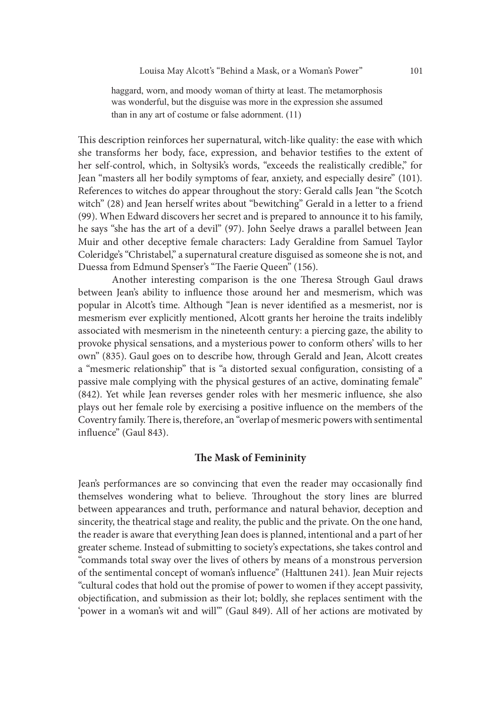haggard, worn, and moody woman of thirty at least. The metamorphosis was wonderful, but the disguise was more in the expression she assumed than in any art of costume or false adornment.  $(11)$ 

This description reinforces her supernatural, witch-like quality: the ease with which she transforms her body, face, expression, and behavior testifies to the extent of her self-control, which, in Soltysik's words, "exceeds the realistically credible," for Jean "masters all her bodily symptoms of fear, anxiety, and especially desire" (101). References to witches do appear throughout the story: Gerald calls Jean "the Scotch witch" (28) and Jean herself writes about "bewitching" Gerald in a letter to a friend (99). When Edward discovers her secret and is prepared to announce it to his family, he says "she has the art of a devil" (97). John Seelye draws a parallel between Jean Muir and other deceptive female characters: Lady Geraldine from Samuel Taylor Coleridge's "Christabel," a supernatural creature disguised as someone she is not, and Duessa from Edmund Spenser's "The Faerie Queen" (156).

Another interesting comparison is the one Theresa Strough Gaul draws between Jean's ability to in{uence those around her and mesmerism, which was popular in Alcott's time. Although "Jean is never identified as a mesmerist, nor is mesmerism ever explicitly mentioned, Alcott grants her heroine the traits indelibly associated with mesmerism in the nineteenth century: a piercing gaze, the ability to provoke physical sensations, and a mysterious power to conform others' wills to her own" (835). Gaul goes on to describe how, through Gerald and Jean, Alcott creates a "mesmeric relationship" that is "a distorted sexual configuration, consisting of a passive male complying with the physical gestures of an active, dominating female" (842). Yet while Jean reverses gender roles with her mesmeric influence, she also plays out her female role by exercising a positive in{uence on the members of the Coventry family. There is, therefore, an "overlap of mesmeric powers with sentimental influence" (Gaul 843).

## The Mask of Femininity

Jean's performances are so convincing that even the reader may occasionally find themselves wondering what to believe. Throughout the story lines are blurred between appearances and truth, performance and natural behavior, deception and sincerity, the theatrical stage and reality, the public and the private. On the one hand, the reader is aware that everything Jean does is planned, intentional and a part of her greater scheme. Instead of submitting to society's expectations, she takes control and "commands total sway over the lives of others by means of a monstrous perversion of the sentimental concept of woman's in{uence" (Halttunen 241). Jean Muir rejects "cultural codes that hold out the promise of power to women if they accept passivity, objectification, and submission as their lot; boldly, she replaces sentiment with the 'power in a woman's wit and will'" (Gaul 849). All of her actions are motivated by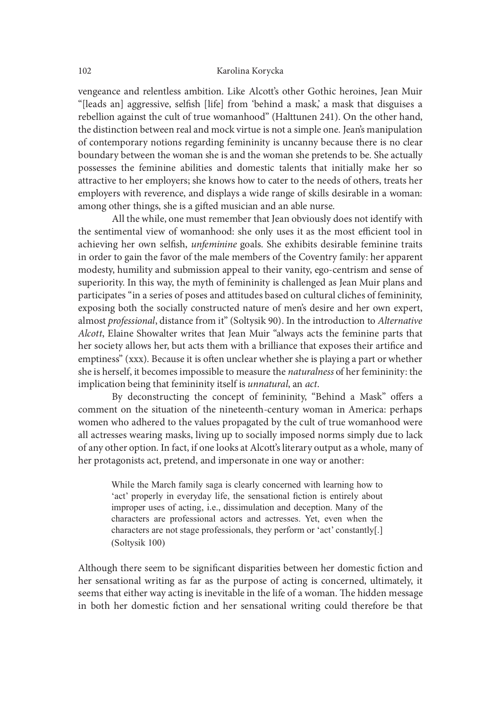vengeance and relentless ambition. Like Alcott's other Gothic heroines, Jean Muir "[leads an] aggressive, selfish [life] from 'behind a mask,' a mask that disguises a rebellion against the cult of true womanhood" (Halttunen 241). On the other hand, the distinction between real and mock virtue is not a simple one. Jean's manipulation of contemporary notions regarding femininity is uncanny because there is no clear boundary between the woman she is and the woman she pretends to be. She actually possesses the feminine abilities and domestic talents that initially make her so attractive to her employers; she knows how to cater to the needs of others, treats her employers with reverence, and displays a wide range of skills desirable in a woman: among other things, she is a gited musician and an able nurse.

 All the while, one must remember that Jean obviously does not identify with the sentimental view of womanhood: she only uses it as the most efficient tool in achieving her own selfish, *unfeminine* goals. She exhibits desirable feminine traits in order to gain the favor of the male members of the Coventry family: her apparent modesty, humility and submission appeal to their vanity, ego-centrism and sense of superiority. In this way, the myth of femininity is challenged as Jean Muir plans and participates "in a series of poses and attitudes based on cultural cliches of femininity, exposing both the socially constructed nature of men's desire and her own expert, almost professional, distance from it" (Soltysik 90). In the introduction to Alternative Alcott, Elaine Showalter writes that Jean Muir "always acts the feminine parts that her society allows her, but acts them with a brilliance that exposes their artifice and emptiness" (xxx). Because it is oten unclear whether she is playing a part or whether she is herself, it becomes impossible to measure the naturalness of her femininity: the implication being that femininity itself is *unnatural*, an *act*. ates "in a series of poses and attitudes based on cultural cliches of femininity, g both the socially constructed nature of men's desire and her own expert, *ropfsesional*, distance from it" (Soltysik 90). In the introduct Four social variat variat on the social contains of the particular and the compositional, distance from it<sup>h</sup> (Soltysik 90). In the introduction to *Alternative* Elaine Showalter writes that Jean Muir "always acts the femi

By deconstructing the concept of femininity, "Behind a Mask" offers a comment on the situation of the nineteenth-century woman in America: perhaps women who adhered to the values propagated by the cult of true womanhood were all actresses wearing masks, living up to socially imposed norms simply due to lack of any other option. In fact, if one looks at Alcott's literary output as a whole, many of her protagonists act, pretend, and impersonate in one way or another:

While the March family saga is clearly concerned with learning how to improper uses of acting, i.e., dissimulation and deception. Many of the characters are not stage professionals, they perform or 'act' constantly[.]  $(Soltysik 100)$ 

Although there seem to be significant disparities between her domestic fiction and her sensational writing as far as the purpose of acting is concerned, ultimately, it seems that either way acting is inevitable in the life of a woman. The hidden message in both her domestic fiction and her sensational writing could therefore be that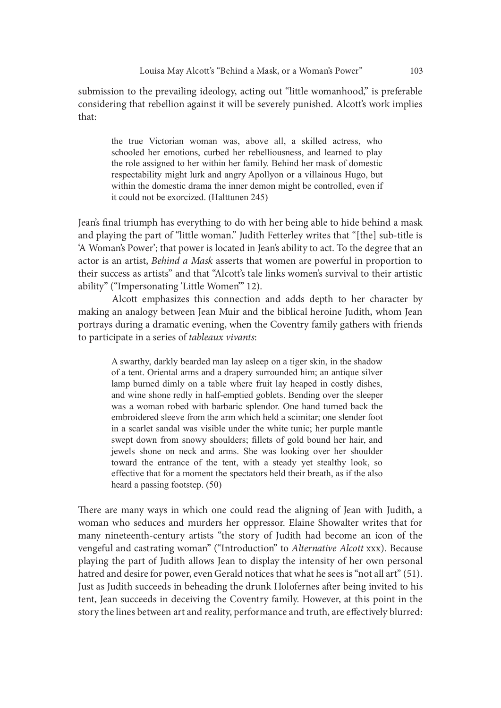submission to the prevailing ideology, acting out "little womanhood," is preferable considering that rebellion against it will be severely punished. Alcott's work implies that:

the true Victorian woman was, above all, a skilled actress, who schooled her emotions, curbed her rebelliousness, and learned to play the role assigned to her within her family. Behind her mask of domestic respectability might lurk and angry Apollyon or a villainous Hugo, but within the domestic drama the inner demon might be controlled, even if it could not be exorcized.(Halttunen 245)

Jean's final triumph has everything to do with her being able to hide behind a mask and playing the part of "little woman." Judith Fetterley writes that "[the] sub-title is 'A Woman's Power'; that power is located in Jean's ability to act. To the degree that an actor is an artist, Behind a Mask asserts that women are powerful in proportion to their success as artists" and that "Alcott's tale links women's survival to their artistic ability" ("Impersonating 'Little Women'" 12).

 Alcott emphasizes this connection and adds depth to her character by making an analogy between Jean Muir and the biblical heroine Judith, whom Jean portrays during a dramatic evening, when the Coventry family gathers with friends to participate in a series of tableaux vivants:

A swarthy, darkly bearded man lay asleep on a tiger skin, in the shadow of a tent. Oriental arms and a drapery surrounded him; an antique silver respectability might lunk and angly Apoliyon or a viliantios Fugo, but<br>within the domestic drama the inner demon might be controlled, even if<br>it could not be exoccized. (Haltunen 245)<br>all triumph has everything to do with and wine shone redly in half-emptied goblets. Bending over the sleeper and triumph has everything to do with her being able to hide behind a mask<br>ring the part of "little woman." Judith Fetterley writes that "(ftel sub-title is<br>ana's Power; that power is located in Jean's ability to act. To t embroidered sleeve from the arm which held a scimitar; one slender foot in a scarlet sandal was visible under the white tunic; her purple mantle ing the part of "little woman." Judith Fetterley writes that "(the) sub-title is and sm Power', that power is located in Jean's ability to act. To the degree that an an arratts, *Behinda a Mask* asserts that women are pow an's Power'; that power is located in Jean's ability to act. To the degree that an antist, *Behind a Mask* asserts that women are powerful in proportion to crease at satrists" and that "Alcott's tale links women's survival an artist, *Behind a Mask* asserts that women are powerful in proportion to<br>ccess as artists" and that "Alcott's tale links women"s survival to their artistic<br>("Impersonating Cittle Women" 21).<br>Alcott emphasizes this conne effective that for a moment the spectators held their breath, as if the also heard a passing footstep.  $(50)$ 

There are many ways in which one could read the aligning of Jean with Judith, a woman who seduces and murders her oppressor. Elaine Showalter writes that for many nineteenth-century artists "the story of Judith had become an icon of the vengeful and castrating woman" ("Introduction" to Alternative Alcott xxx). Because playing the part of Judith allows Jean to display the intensity of her own personal hatred and desire for power, even Gerald notices that what he sees is "not all art" (51). Just as Judith succeeds in beheading the drunk Holofernes ater being invited to his tent, Jean succeeds in deceiving the Coventry family. However, at this point in the story the lines between art and reality, performance and truth, are effectively blurred: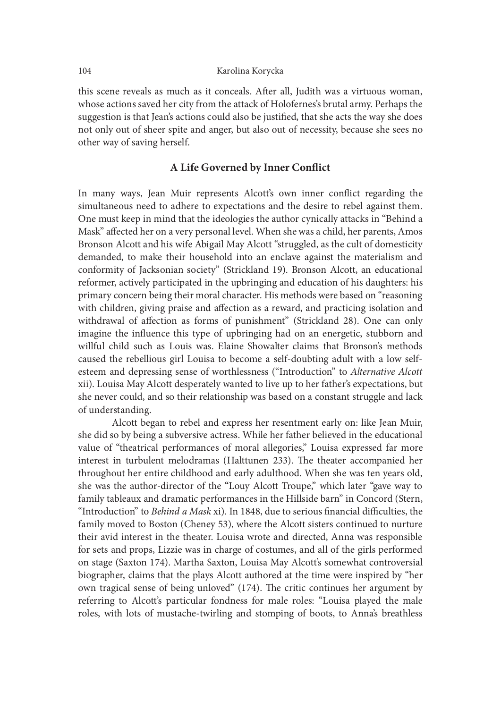this scene reveals as much as it conceals. Ater all, Judith was a virtuous woman, whose actions saved her city from the attack of Holofernes's brutal army. Perhaps the suggestion is that Jean's actions could also be justified, that she acts the way she does not only out of sheer spite and anger, but also out of necessity, because she sees no other way of saving herself.

## A Life Governed by Inner Conflict

In many ways, Jean Muir represents Alcott's own inner conflict regarding the simultaneous need to adhere to expectations and the desire to rebel against them. One must keep in mind that the ideologies the author cynically attacks in "Behind a Mask" affected her on a very personal level. When she was a child, her parents, Amos Bronson Alcott and his wife Abigail May Alcott "struggled, as the cult of domesticity demanded, to make their household into an enclave against the materialism and conformity of Jacksonian society" (Strickland 19). Bronson Alcott, an educational reformer, actively participated in the upbringing and education of his daughters: his primary concern being their moral character. His methods were based on "reasoning with children, giving praise and affection as a reward, and practicing isolation and withdrawal of affection as forms of punishment" (Strickland 28). One can only imagine the influence this type of upbringing had on an energetic, stubborn and willful child such as Louis was. Elaine Showalter claims that Bronson's methods caused the rebellious girl Louisa to become a self-doubting adult with a low selfesteem and depressing sense of worthlessness ("Introduction" to Alternative Alcott xii). Louisa May Alcott desperately wanted to live up to her father's expectations, but she never could, and so their relationship was based on a constant struggle and lack of understanding.

Alcott began to rebel and express her resentment early on: like Jean Muir, she did so by being a subversive actress. While her father believed in the educational value of "theatrical performances of moral allegories," Louisa expressed far more interest in turbulent melodramas (Halttunen 233). The theater accompanied her throughout her entire childhood and early adulthood. When she was ten years old, she was the author-director of the "Louy Alcott Troupe," which later "gave way to family tableaux and dramatic performances in the Hillside barn" in Concord (Stern, "Introduction" to Behind a Mask xi). In 1848, due to serious financial difficulties, the family moved to Boston (Cheney 53), where the Alcott sisters continued to nurture their avid interest in the theater. Louisa wrote and directed, Anna was responsible for sets and props, Lizzie was in charge of costumes, and all of the girls performed on stage (Saxton 174). Martha Saxton, Louisa May Alcott's somewhat controversial biographer, claims that the plays Alcott authored at the time were inspired by "her own tragical sense of being unloved" (174). The critic continues her argument by referring to Alcott's particular fondness for male roles: "Louisa played the male roles, with lots of mustache-twirling and stomping of boots, to Anna's breathless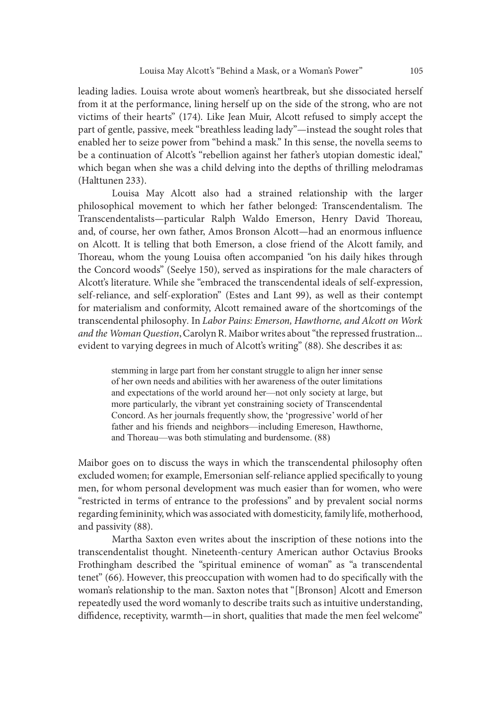leading ladies. Louisa wrote about women's heartbreak, but she dissociated herself from it at the performance, lining herself up on the side of the strong, who are not victims of their hearts" (174). Like Jean Muir, Alcott refused to simply accept the part of gentle, passive, meek "breathless leading lady"—instead the sought roles that enabled her to seize power from "behind a mask." In this sense, the novella seems to be a continuation of Alcott's "rebellion against her father's utopian domestic ideal," which began when she was a child delving into the depths of thrilling melodramas (Halttunen 233).

 Louisa May Alcott also had a strained relationship with the larger philosophical movement to which her father belonged: Transcendentalism. The Transcendentalists—particular Ralph Waldo Emerson, Henry David Thoreau, and, of course, her own father, Amos Bronson Alcott—had an enormous in{uence on Alcott. It is telling that both Emerson, a close friend of the Alcott family, and Thoreau, whom the young Louisa often accompanied "on his daily hikes through the Concord woods" (Seelye 150), served as inspirations for the male characters of Alcott's literature. While she "embraced the transcendental ideals of self-expression, self-reliance, and self-exploration" (Estes and Lant 99), as well as their contempt for materialism and conformity, Alcott remained aware of the shortcomings of the transcendental philosophy. In Labor Pains: Emerson, Hawthorne, and Alcott on Work and the Woman Question, Carolyn R. Maibor writes about "the repressed frustration... evident to varying degrees in much of Alcott's writing" (88). She describes it as:

stemming in large part from her constant struggle to align her inner sense of her own needs and abilities with her awareness of the outer limitations and expectations of the world around her—not only society at large, but more particularly, the vibrant yet constraining society of Transcendental Concord. As her journals frequently show, the 'progressive' world of her father and his friends and neighbors—including Emereson, Hawthorne, and Thoreau—was both stimulating and burdensome. (88)

Maibor goes on to discuss the ways in which the transcendental philosophy oten excluded women; for example, Emersonian self-reliance applied specifically to young men, for whom personal development was much easier than for women, who were "restricted in terms of entrance to the professions" and by prevalent social norms regarding femininity, which was associated with domesticity, family life, motherhood, and passivity (88).

 Martha Saxton even writes about the inscription of these notions into the transcendentalist thought. Nineteenth-century American author Octavius Brooks Frothingham described the "spiritual eminence of woman" as "a transcendental tenet" (66). However, this preoccupation with women had to do specifically with the woman's relationship to the man. Saxton notes that "[Bronson] Alcott and Emerson repeatedly used the word womanly to describe traits such as intuitive understanding, diffidence, receptivity, warmth—in short, qualities that made the men feel welcome"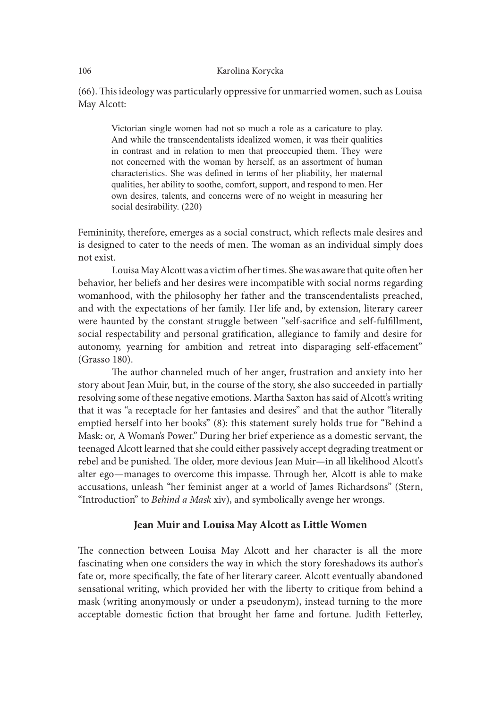(66). This ideology was particularly oppressive for unmarried women, such as Louisa May Alcott:

Victorian single women had not so much a role as a caricature to play. And while the transcendentalists idealized women, it was their qualities in contrast and in relation to men that preoccupied them. They were not concerned with the woman by herself, as an assortment of human characteristics. She was defined in terms of her pliability, her maternal qualities, her ability to soothe, comfort, support, and respond to men. Her own desires, talents, and concerns were of no weight in measuring her social desirability. (220)

Femininity, therefore, emerges as a social construct, which reflects male desires and is designed to cater to the needs of men. The woman as an individual simply does not exist.

Louisa May Alcott was a victim of her times. She was aware that quite oten her behavior, her beliefs and her desires were incompatible with social norms regarding womanhood, with the philosophy her father and the transcendentalists preached, and with the expectations of her family. Her life and, by extension, literary career were haunted by the constant struggle between "self-sacrifice and self-fulfillment, social respectability and personal gratification, allegiance to family and desire for autonomy, yearning for ambition and retreat into disparaging self-effacement" (Grasso 180).

The author channeled much of her anger, frustration and anxiety into her story about Jean Muir, but, in the course of the story, she also succeeded in partially resolving some of these negative emotions. Martha Saxton has said of Alcott's writing that it was "a receptacle for her fantasies and desires" and that the author "literally emptied herself into her books" (8): this statement surely holds true for "Behind a Mask: or, A Woman's Power." During her brief experience as a domestic servant, the teenaged Alcott learned that she could either passively accept degrading treatment or rebel and be punished. The older, more devious Jean Muir—in all likelihood Alcott's alter ego—manages to overcome this impasse. Through her, Alcott is able to make accusations, unleash "her feminist anger at a world of James Richardsons" (Stern, "Introduction" to Behind a Mask xiv), and symbolically avenge her wrongs.

## Jean Muir and Louisa May Alcott as Little Women

The connection between Louisa May Alcott and her character is all the more fascinating when one considers the way in which the story foreshadows its author's fate or, more specifically, the fate of her literary career. Alcott eventually abandoned sensational writing, which provided her with the liberty to critique from behind a mask (writing anonymously or under a pseudonym), instead turning to the more acceptable domestic fiction that brought her fame and fortune. Judith Fetterley,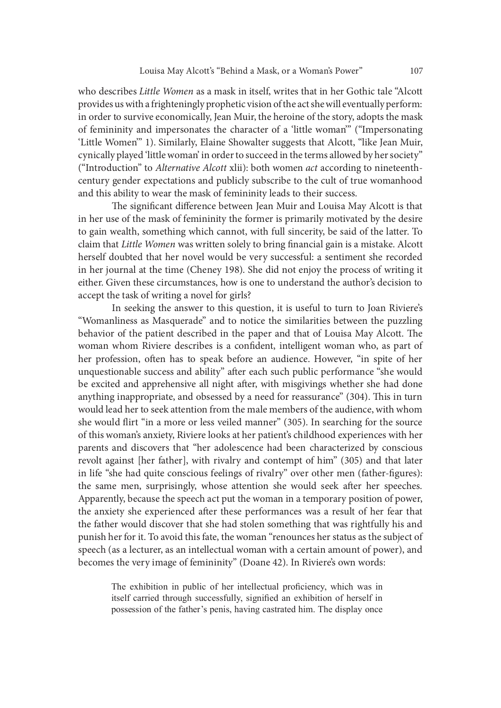who describes *Little Women* as a mask in itself, writes that in her Gothic tale "Alcott" provides us with a frighteningly prophetic vision of the act she will eventually perform: in order to survive economically, Jean Muir, the heroine of the story, adopts the mask of femininity and impersonates the character of a 'little woman'" ("Impersonating 'Little Women'" 1). Similarly, Elaine Showalter suggests that Alcott, "like Jean Muir, cynically played 'little woman' in order to succeed in the terms allowed by her society" ("Introduction" to Alternative Alcott xlii): both women act according to nineteenthcentury gender expectations and publicly subscribe to the cult of true womanhood and this ability to wear the mask of femininity leads to their success.

The significant difference between Jean Muir and Louisa May Alcott is that in her use of the mask of femininity the former is primarily motivated by the desire to gain wealth, something which cannot, with full sincerity, be said of the latter. To claim that Little Women was written solely to bring financial gain is a mistake. Alcott herself doubted that her novel would be very successful: a sentiment she recorded in her journal at the time (Cheney 198). She did not enjoy the process of writing it either. Given these circumstances, how is one to understand the author's decision to accept the task of writing a novel for girls?

 In seeking the answer to this question, it is useful to turn to Joan Riviere's "Womanliness as Masquerade" and to notice the similarities between the puzzling behavior of the patient described in the paper and that of Louisa May Alcott. The woman whom Riviere describes is a confident, intelligent woman who, as part of her profession, oten has to speak before an audience. However, "in spite of her unquestionable success and ability" ater each such public performance "she would be excited and apprehensive all night after, with misgivings whether she had done anything inappropriate, and obsessed by a need for reassurance" (304). This in turn would lead her to seek attention from the male members of the audience, with whom she would flirt "in a more or less veiled manner" (305). In searching for the source of this woman's anxiety, Riviere looks at her patient's childhood experiences with her parents and discovers that "her adolescence had been characterized by conscious revolt against [her father], with rivalry and contempt of him" (305) and that later in life "she had quite conscious feelings of rivalry" over other men (father-figures): the same men, surprisingly, whose attention she would seek ater her speeches. Apparently, because the speech act put the woman in a temporary position of power, the anxiety she experienced ater these performances was a result of her fear that the father would discover that she had stolen something that was rightfully his and punish her for it. To avoid this fate, the woman "renounces her status as the subject of speech (as a lecturer, as an intellectual woman with a certain amount of power), and becomes the very image of femininity" (Doane 42). In Riviere's own words:

The exhibition in public of her intellectual proficiency, which was in itself carried through successfully, signified an exhibition of herself in possession of the father's penis, having castrated him. The display once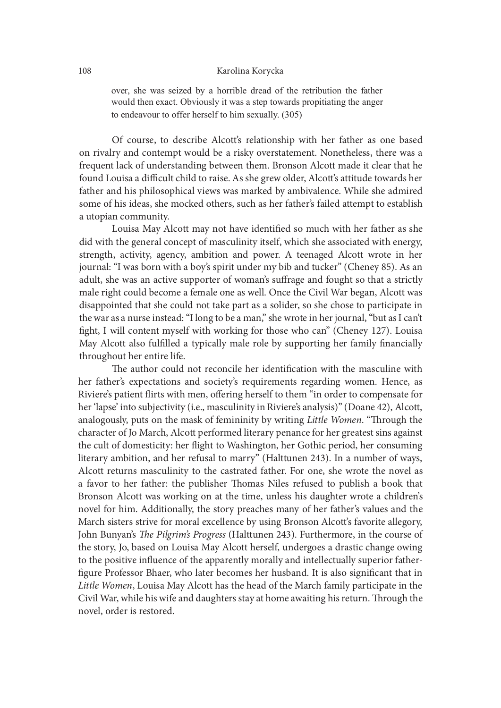Karolina Korycka<br>Ryday, she was seized by a horrible dread of the retribution the father<br>would then exact. Obviously it was a step towards propitiating the anger<br>to endeavour to offer herself to him sexually. (305)<br>Of cour would then exact. Obviously it was a step towards propitiating the anger to endeavour to offer herself to him sexually. (305)

 Of course, to describe Alcott's relationship with her father as one based on rivalry and contempt would be a risky overstatement. Nonetheless, there was a frequent lack of understanding between them. Bronson Alcott made it clear that he found Louisa a difficult child to raise. As she grew older, Alcott's attitude towards her father and his philosophical views was marked by ambivalence. While she admired some of his ideas, she mocked others, such as her father's failed attempt to establish a utopian community.

Louisa May Alcott may not have identified so much with her father as she did with the general concept of masculinity itself, which she associated with energy, strength, activity, agency, ambition and power. A teenaged Alcott wrote in her journal: "I was born with a boy's spirit under my bib and tucker" (Cheney 85). As an adult, she was an active supporter of woman's suffrage and fought so that a strictly male right could become a female one as well. Once the Civil War began, Alcott was disappointed that she could not take part as a solider, so she chose to participate in the war as a nurse instead: "I long to be a man," she wrote in her journal, "but as I can't fight, I will content myself with working for those who can" (Cheney 127). Louisa May Alcott also fulfilled a typically male role by supporting her family financially throughout her entire life.

The author could not reconcile her identification with the masculine with her father's expectations and society's requirements regarding women. Hence, as Riviere's patient flirts with men, offering herself to them "in order to compensate for her 'lapse' into subjectivity (i.e., masculinity in Riviere's analysis)" (Doane 42), Alcott, analogously, puts on the mask of femininity by writing Little Women. "Through the character of Jo March, Alcott performed literary penance for her greatest sins against the cult of domesticity: her {ight to Washington, her Gothic period, her consuming literary ambition, and her refusal to marry" (Halttunen 243). In a number of ways, Alcott returns masculinity to the castrated father. For one, she wrote the novel as a favor to her father: the publisher Thomas Niles refused to publish a book that Bronson Alcott was working on at the time, unless his daughter wrote a children's novel for him. Additionally, the story preaches many of her father's values and the March sisters strive for moral excellence by using Bronson Alcott's favorite allegory, John Bunyan's The Pilgrim's Progress (Halttunen 243). Furthermore, in the course of the story, Jo, based on Louisa May Alcott herself, undergoes a drastic change owing to the positive influence of the apparently morally and intellectually superior fatherfigure Professor Bhaer, who later becomes her husband. It is also significant that in Little Women, Louisa May Alcott has the head of the March family participate in the Civil War, while his wife and daughters stay at home awaiting his return. Through the novel, order is restored.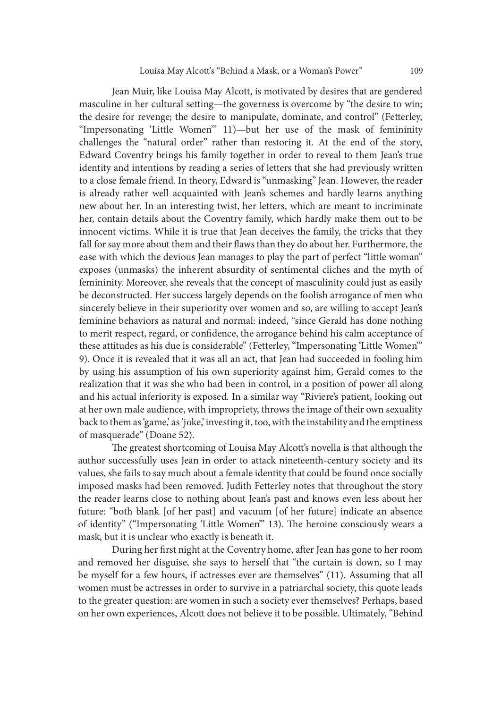Jean Muir, like Louisa May Alcott, is motivated by desires that are gendered masculine in her cultural setting—the governess is overcome by "the desire to win; the desire for revenge; the desire to manipulate, dominate, and control" (Fetterley, "Impersonating 'Little Women'" 11)—but her use of the mask of femininity challenges the "natural order" rather than restoring it. At the end of the story, Edward Coventry brings his family together in order to reveal to them Jean's true identity and intentions by reading a series of letters that she had previously written to a close female friend. In theory, Edward is "unmasking" Jean. However, the reader is already rather well acquainted with Jean's schemes and hardly learns anything new about her. In an interesting twist, her letters, which are meant to incriminate her, contain details about the Coventry family, which hardly make them out to be innocent victims. While it is true that Jean deceives the family, the tricks that they fall for say more about them and their flaws than they do about her. Furthermore, the ease with which the devious Jean manages to play the part of perfect "little woman" exposes (unmasks) the inherent absurdity of sentimental cliches and the myth of femininity. Moreover, she reveals that the concept of masculinity could just as easily be deconstructed. Her success largely depends on the foolish arrogance of men who sincerely believe in their superiority over women and so, are willing to accept Jean's feminine behaviors as natural and normal: indeed, "since Gerald has done nothing to merit respect, regard, or confidence, the arrogance behind his calm acceptance of these attitudes as his due is considerable" (Fetterley, "Impersonating 'Little Women'" 9). Once it is revealed that it was all an act, that Jean had succeeded in fooling him by using his assumption of his own superiority against him, Gerald comes to the realization that it was she who had been in control, in a position of power all along and his actual inferiority is exposed. In a similar way "Riviere's patient, looking out at her own male audience, with impropriety, throws the image of their own sexuality back to them as 'game,' as 'joke,' investing it, too, with the instability and the emptiness of masquerade" (Doane 52).

The greatest shortcoming of Louisa May Alcott's novella is that although the author successfully uses Jean in order to attack nineteenth-century society and its values, she fails to say much about a female identity that could be found once socially imposed masks had been removed. Judith Fetterley notes that throughout the story the reader learns close to nothing about Jean's past and knows even less about her future: "both blank [of her past] and vacuum [of her future] indicate an absence of identity" ("Impersonating 'Little Women" 13). The heroine consciously wears a mask, but it is unclear who exactly is beneath it.

During her first night at the Coventry home, after Jean has gone to her room and removed her disguise, she says to herself that "the curtain is down, so I may be myself for a few hours, if actresses ever are themselves" (11). Assuming that all women must be actresses in order to survive in a patriarchal society, this quote leads to the greater question: are women in such a society ever themselves? Perhaps, based on her own experiences, Alcott does not believe it to be possible. Ultimately, "Behind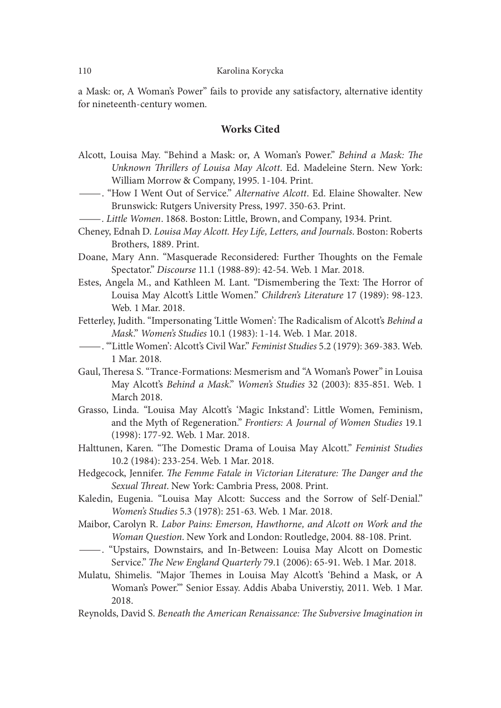a Mask: or, A Woman's Power" fails to provide any satisfactory, alternative identity for nineteenth-century women.

## Works Cited

- Alcott, Louisa May. "Behind a Mask: or, A Woman's Power." Behind a Mask: The Unknown Thrillers of Louisa May Alcott. Ed. Madeleine Stern. New York:
- William Morrow & Company, 1995. 1-104. Print. —. "How I Went Out of Service." Alternative Alcott. Ed. Elaine Showalter. New
- Erugary Duit E. Antibox. 2016. Little Assement. 2018. Print. Little Women. 1934. Print.
- Cheney, Ednah D. Louisa May Alcott. Hey Life, Letters, and Journals. Boston: Roberts Brothers, 1889. Print.
- Doane, Mary Ann. "Masquerade Reconsidered: Further Thoughts on the Female Spectator." Discourse 11.1 (1988-89): 42-54. Web. 1 Mar. 2018.
- Estes, Angela M., and Kathleen M. Lant. "Dismembering the Text: The Horror of Louisa May Alcott's Little Women." Children's Literature 17 (1989): 98-123. Web. 1 Mar. 2018.
- Fetterley, Judith. "Impersonating 'Little Women': The Radicalism of Alcott's Behind a Mask." Women's Studies 10.1 (1983): 1-14. Web. 1 Mar. 2018. —. "'Little Women': Alcott's Civil War." Feminist Studies 5.2 (1979): 369-383. Web.
- 1 Mar. 2018.
- Gaul, Theresa S. "Trance-Formations: Mesmerism and "A Woman's Power" in Louisa May Alcott's Behind a Mask." Women's Studies 32 (2003): 835-851. Web. 1 March 2018.
- Grasso, Linda. "Louisa May Alcott's 'Magic Inkstand': Little Women, Feminism, and the Myth of Regeneration." Frontiers: A Journal of Women Studies 19.1 (1998): 177-92. Web. 1 Mar. 2018.
- Halttunen, Karen. "The Domestic Drama of Louisa May Alcott." Feminist Studies 10.2 (1984): 233-254. Web. 1 Mar. 2018.
- Hedgecock, Jennifer. The Femme Fatale in Victorian Literature: The Danger and the Sexual Threat. New York: Cambria Press, 2008. Print.
- Kaledin, Eugenia. "Louisa May Alcott: Success and the Sorrow of Self-Denial." Women's Studies 5.3 (1978): 251-63. Web. 1 Mar. 2018.
- Maibor, Carolyn R. Labor Pains: Emerson, Hawthorne, and Alcott on Work and the Woman Question. New York and London: Routledge, 2004. 88-108. Print.<br>
- Clystairs, Downstairs, and In-Between: Louisa May Alcott on Domestic
- Service." The New England Quarterly 79.1 (2006): 65-91. Web. 1 Mar. 2018.
- Mulatu, Shimelis. "Major Themes in Louisa May Alcott's 'Behind a Mask, or A Woman's Power.'" Senior Essay. Addis Ababa Universtiy, 2011. Web. 1 Mar. 2018.
- Reynolds, David S. Beneath the American Renaissance: The Subversive Imagination in